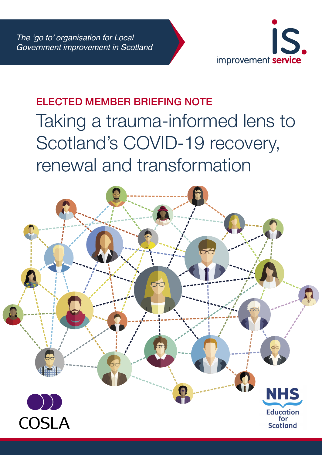

# ELECTED MEMBER BRIEFING NOTE Taking a trauma-informed lens to Scotland's COVID-19 recovery, renewal and transformation

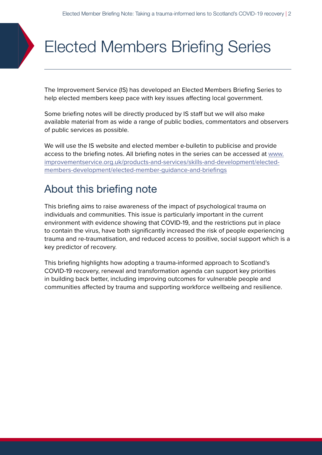# Elected Members Briefing Series

The Improvement Service (IS) has developed an Elected Members Briefing Series to help elected members keep pace with key issues affecting local government.

Some briefing notes will be directly produced by IS staff but we will also make available material from as wide a range of public bodies, commentators and observers of public services as possible.

We will use the IS website and elected member e-bulletin to publicise and provide access to the briefing notes. All briefing notes in the series can be accessed at [www.](https://www.improvementservice.org.uk/products-and-services/skills-and-development/elected-members-development/elected-member-guidance-and-briefings) [improvementservice.org.uk/products-and-services/skills-and-development/elected](https://www.improvementservice.org.uk/products-and-services/skills-and-development/elected-members-development/elected-member-guidance-and-briefings)[members-development/elected-member-guidance-and-briefings](https://www.improvementservice.org.uk/products-and-services/skills-and-development/elected-members-development/elected-member-guidance-and-briefings)

## About this briefing note

This briefing aims to raise awareness of the impact of psychological trauma on individuals and communities. This issue is particularly important in the current environment with evidence showing that COVID-19, and the restrictions put in place to contain the virus, have both significantly increased the risk of people experiencing trauma and re-traumatisation, and reduced access to positive, social support which is a key predictor of recovery.

This briefing highlights how adopting a trauma-informed approach to Scotland's COVID-19 recovery, renewal and transformation agenda can support key priorities in building back better, including improving outcomes for vulnerable people and communities affected by trauma and supporting workforce wellbeing and resilience.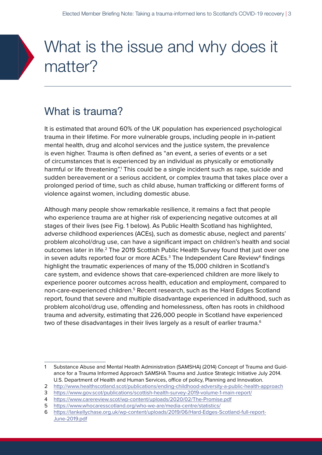## What is the issue and why does it matter?

## What is trauma?

It is estimated that around 60% of the UK population has experienced psychological trauma in their lifetime. For more vulnerable groups, including people in in-patient mental health, drug and alcohol services and the justice system, the prevalence is even higher. Trauma is often defined as "an event, a series of events or a set of circumstances that is experienced by an individual as physically or emotionally harmful or life threatening".<sup>1</sup> This could be a single incident such as rape, suicide and sudden bereavement or a serious accident, or complex trauma that takes place over a prolonged period of time, such as child abuse, human trafficking or different forms of violence against women, including domestic abuse.

Although many people show remarkable resilience, it remains a fact that people who experience trauma are at higher risk of experiencing negative outcomes at all stages of their lives (see Fig. 1 below). As Public Health Scotland has highlighted, adverse childhood experiences (ACEs), such as domestic abuse, neglect and parents' problem alcohol/drug use, can have a significant impact on children's health and social outcomes later in life.<sup>2</sup> The 2019 Scottish Public Health Survey found that just over one in seven adults reported four or more ACEs. $^3$  The Independent Care Review<sup>4</sup> findings highlight the traumatic experiences of many of the 15,000 children in Scotland's care system, and evidence shows that care-experienced children are more likely to experience poorer outcomes across health, education and employment, compared to non-care-experienced children.<sup>5</sup> Recent research, such as the Hard Edges Scotland report, found that severe and multiple disadvantage experienced in adulthood, such as problem alcohol/drug use, offending and homelessness, often has roots in childhood trauma and adversity, estimating that 226,000 people in Scotland have experienced two of these disadvantages in their lives largely as a result of earlier trauma.<sup>6</sup>

<sup>1</sup> Substance Abuse and Mental Health Administration (SAMSHA) (2014) Concept of Trauma and Guidance for a Trauma Informed Approach SAMSHA Trauma and Justice Strategic Initiative July 2014. U.S. Department of Health and Human Services, office of policy, Planning and Innovation.

<sup>2</sup> <http://www.healthscotland.scot/publications/ending-childhood-adversity-a-public-health-approach>

<sup>3</sup> <https://www.gov.scot/publications/scottish-health-survey-2019-volume-1-main-report/>

<sup>4</sup> <https://www.carereview.scot/wp-content/uploads/2020/02/The-Promise.pdf>

<sup>5</sup> <https://www.whocaresscotland.org/who-we-are/media-centre/statistics/>

<sup>6</sup> [https://lankellychase.org.uk/wp-content/uploads/2019/06/Hard-Edges-Scotland-full-report-](https://lankellychase.org.uk/wp-content/uploads/2019/06/Hard-Edges-Scotland-full-report-June-2019.pdf)[June-2019.pdf](https://lankellychase.org.uk/wp-content/uploads/2019/06/Hard-Edges-Scotland-full-report-June-2019.pdf)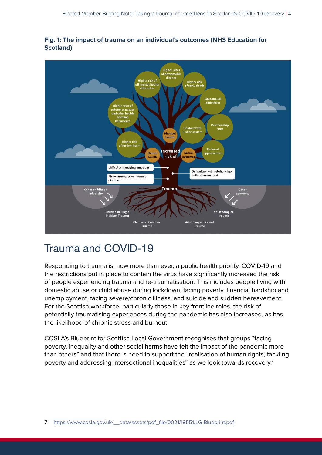

#### **Fig. 1: The impact of trauma on an individual's outcomes (NHS Education for Scotland)**

## Trauma and COVID-19

Responding to trauma is, now more than ever, a public health priority. COVID-19 and the restrictions put in place to contain the virus have significantly increased the risk of people experiencing trauma and re-traumatisation. This includes people living with domestic abuse or child abuse during lockdown, facing poverty, financial hardship and unemployment, facing severe/chronic illness, and suicide and sudden bereavement. For the Scottish workforce, particularly those in key frontline roles, the risk of potentially traumatising experiences during the pandemic has also increased, as has the likelihood of chronic stress and burnout.

COSLA's Blueprint for Scottish Local Government recognises that groups "facing poverty, inequality and other social harms have felt the impact of the pandemic more than others" and that there is need to support the "realisation of human rights, tackling poverty and addressing intersectional inequalities" as we look towards recovery.7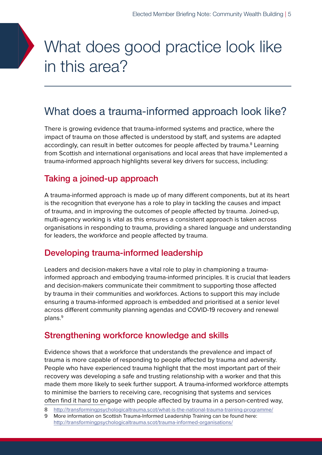## What does good practice look like in this area?

### What does a trauma-informed approach look like?

There is growing evidence that trauma-informed systems and practice, where the impact of trauma on those affected is understood by staff, and systems are adapted accordingly, can result in better outcomes for people affected by trauma.<sup>8</sup> Learning from Scottish and international organisations and local areas that have implemented a trauma-informed approach highlights several key drivers for success, including:

### Taking a joined-up approach

A trauma-informed approach is made up of many different components, but at its heart is the recognition that everyone has a role to play in tackling the causes and impact of trauma, and in improving the outcomes of people affected by trauma. Joined-up, multi-agency working is vital as this ensures a consistent approach is taken across organisations in responding to trauma, providing a shared language and understanding for leaders, the workforce and people affected by trauma.

#### Developing trauma-informed leadership

Leaders and decision-makers have a vital role to play in championing a traumainformed approach and embodying trauma-informed principles. It is crucial that leaders and decision-makers communicate their commitment to supporting those affected by trauma in their communities and workforces. Actions to support this may include ensuring a trauma-informed approach is embedded and prioritised at a senior level across different community planning agendas and COVID-19 recovery and renewal plans.9

#### Strengthening workforce knowledge and skills

Evidence shows that a workforce that understands the prevalence and impact of trauma is more capable of responding to people affected by trauma and adversity. People who have experienced trauma highlight that the most important part of their recovery was developing a safe and trusting relationship with a worker and that this made them more likely to seek further support. A trauma-informed workforce attempts to minimise the barriers to receiving care, recognising that systems and services often find it hard to engage with people affected by trauma in a person-centred way,

8 <http://transformingpsychologicaltrauma.scot/what-is-the-national-trauma-training-programme/>

<sup>9</sup> More information on Scottish Trauma-Informed Leadership Training can be found here: <http://transformingpsychologicaltrauma.scot/trauma-informed-organisations/>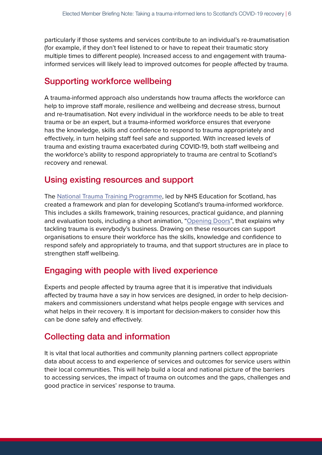particularly if those systems and services contribute to an individual's re-traumatisation (for example, if they don't feel listened to or have to repeat their traumatic story multiple times to different people). Increased access to and engagement with traumainformed services will likely lead to improved outcomes for people affected by trauma.

#### Supporting workforce wellbeing

A trauma-informed approach also understands how trauma affects the workforce can help to improve staff morale, resilience and wellbeing and decrease stress, burnout and re-traumatisation. Not every individual in the workforce needs to be able to treat trauma or be an expert, but a trauma-informed workforce ensures that everyone has the knowledge, skills and confidence to respond to trauma appropriately and effectively, in turn helping staff feel safe and supported. With increased levels of trauma and existing trauma exacerbated during COVID-19, both staff wellbeing and the workforce's ability to respond appropriately to trauma are central to Scotland's recovery and renewal.

#### Using existing resources and support

The [National Trauma Training Programme,](http://transformingpsychologicaltrauma.scot/) led by NHS Education for Scotland, has created a framework and plan for developing Scotland's trauma-informed workforce. This includes a skills framework, training resources, practical guidance, and planning and evaluation tools, including a short animation, "[Opening Doors"](http://transformingpsychologicaltrauma.scot/understanding-trauma/), that explains why tackling trauma is everybody's business. Drawing on these resources can support organisations to ensure their workforce has the skills, knowledge and confidence to respond safely and appropriately to trauma, and that support structures are in place to strengthen staff wellbeing.

#### Engaging with people with lived experience

Experts and people affected by trauma agree that it is imperative that individuals affected by trauma have a say in how services are designed, in order to help decisionmakers and commissioners understand what helps people engage with services and what helps in their recovery. It is important for decision-makers to consider how this can be done safely and effectively.

#### Collecting data and information

It is vital that local authorities and community planning partners collect appropriate data about access to and experience of services and outcomes for service users within their local communities. This will help build a local and national picture of the barriers to accessing services, the impact of trauma on outcomes and the gaps, challenges and good practice in services' response to trauma.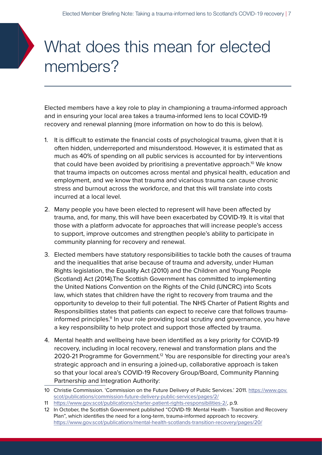# What does this mean for elected members?

Elected members have a key role to play in championing a trauma-informed approach and in ensuring your local area takes a trauma-informed lens to local COVID-19 recovery and renewal planning (more information on how to do this is below).

- 1. It is difficult to estimate the financial costs of psychological trauma, given that it is often hidden, underreported and misunderstood. However, it is estimated that as much as 40% of spending on all public services is accounted for by interventions that could have been avoided by prioritising a preventative approach.<sup>10</sup> We know that trauma impacts on outcomes across mental and physical health, education and employment, and we know that trauma and vicarious trauma can cause chronic stress and burnout across the workforce, and that this will translate into costs incurred at a local level.
- 2. Many people you have been elected to represent will have been affected by trauma, and, for many, this will have been exacerbated by COVID-19. It is vital that those with a platform advocate for approaches that will increase people's access to support, improve outcomes and strengthen people's ability to participate in community planning for recovery and renewal.
- 3. Elected members have statutory responsibilities to tackle both the causes of trauma and the inequalities that arise because of trauma and adversity, under Human Rights legislation, the Equality Act (2010) and the Children and Young People (Scotland) Act (2014).The Scottish Government has committed to implementing the United Nations Convention on the Rights of the Child (UNCRC) into Scots law, which states that children have the right to recovery from trauma and the opportunity to develop to their full potential. The NHS Charter of Patient Rights and Responsibilities states that patients can expect to receive care that follows traumainformed principles.<sup>11</sup> In your role providing local scrutiny and governance, you have a key responsibility to help protect and support those affected by trauma.
- 4. Mental health and wellbeing have been identified as a key priority for COVID-19 recovery, including in local recovery, renewal and transformation plans and the 2020-21 Programme for Government.<sup>12</sup> You are responsible for directing your area's strategic approach and in ensuring a joined-up, collaborative approach is taken so that your local area's COVID-19 Recovery Group/Board, Community Planning Partnership and Integration Authority:

11 [https://www.gov.scot/publications/charter-patient-rights-responsibilities-2/,](https://www.gov.scot/publications/charter-patient-rights-responsibilities-2/) p.9.

<sup>10</sup> Christie Commission. 'Commission on the Future Delivery of Public Services.' 2011. [https://www.gov.](https://www.gov.scot/publications/commission-future-delivery-public-services/pages/2/) [scot/publications/commission-future-delivery-public-services/pages/2/](https://www.gov.scot/publications/commission-future-delivery-public-services/pages/2/)

<sup>12</sup> In October, the Scottish Government published "COVID-19: Mental Health - Transition and Recovery Plan", which identifies the need for a long-term, trauma-informed approach to recovery. <https://www.gov.scot/publications/mental-health-scotlands-transition-recovery/pages/20/>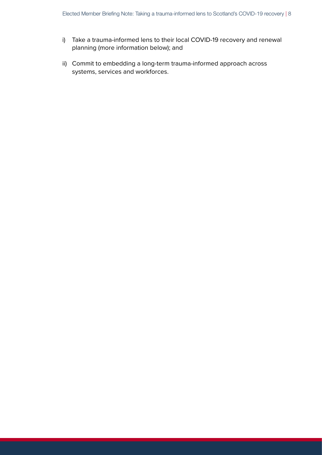- i) Take a trauma-informed lens to their local COVID-19 recovery and renewal planning (more information below); and
- ii) Commit to embedding a long-term trauma-informed approach across systems, services and workforces.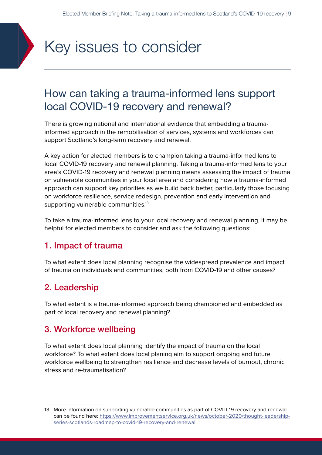

### How can taking a trauma-informed lens support local COVID-19 recovery and renewal?

There is growing national and international evidence that embedding a traumainformed approach in the remobilisation of services, systems and workforces can support Scotland's long-term recovery and renewal.

A key action for elected members is to champion taking a trauma-informed lens to local COVID-19 recovery and renewal planning. Taking a trauma-informed lens to your area's COVID-19 recovery and renewal planning means assessing the impact of trauma on vulnerable communities in your local area and considering how a trauma-informed approach can support key priorities as we build back better, particularly those focusing on workforce resilience, service redesign, prevention and early intervention and supporting vulnerable communities.<sup>13</sup>

To take a trauma-informed lens to your local recovery and renewal planning, it may be helpful for elected members to consider and ask the following questions:

#### 1. Impact of trauma

To what extent does local planning recognise the widespread prevalence and impact of trauma on individuals and communities, both from COVID-19 and other causes?

### 2. Leadership

To what extent is a trauma-informed approach being championed and embedded as part of local recovery and renewal planning?

#### 3. Workforce wellbeing

To what extent does local planning identify the impact of trauma on the local workforce? To what extent does local planing aim to support ongoing and future workforce wellbeing to strengthen resilience and decrease levels of burnout, chronic stress and re-traumatisation?

<sup>13</sup> More information on supporting vulnerable communities as part of COVID-19 recovery and renewal can be found here: [https://www.improvementservice.org.uk/news/october-2020/thought-leadership](https://www.improvementservice.org.uk/news/october-2020/thought-leadership-series-scotlands-roadmap-to-covid-19-recovery-and-renewal)[series-scotlands-roadmap-to-covid-19-recovery-and-renewal](https://www.improvementservice.org.uk/news/october-2020/thought-leadership-series-scotlands-roadmap-to-covid-19-recovery-and-renewal)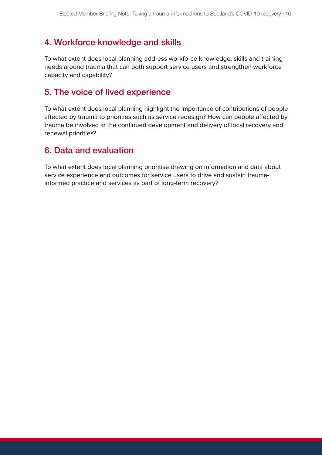### 4. Workforce knowledge and skills

To what extent does local planning address workforce knowledge, skills and training needs around trauma that can both support service users and strengthen workforce capacity and capability?

#### 5. The voice of lived experience

To what extent does local planning highlight the importance of contributions of people affected by trauma to priorities such as service redesign? How can people affected by trauma be involved in the continued development and delivery of local recovery and renewal priorities?

### 6. Data and evaluation

To what extent does local planning prioritise drawing on information and data about service experience and outcomes for service users to drive and sustain traumainformed practice and services as part of long-term recovery?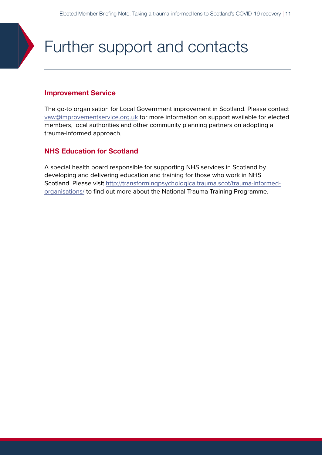## Further support and contacts

#### **Improvement Service**

The go-to organisation for Local Government improvement in Scotland. Please contact [vaw@improvementservice.org.uk](mailto:vaw%40improvementservice.org.uk?subject=) for more information on support available for elected members, local authorities and other community planning partners on adopting a trauma-informed approach.

#### **NHS Education for Scotland**

A special health board responsible for supporting NHS services in Scotland by developing and delivering education and training for those who work in NHS Scotland. Please visit [http://transformingpsychologicaltrauma.scot/trauma-informed](http://transformingpsychologicaltrauma.scot/trauma-informed-organisations/)[organisations/](http://transformingpsychologicaltrauma.scot/trauma-informed-organisations/) to find out more about the National Trauma Training Programme.